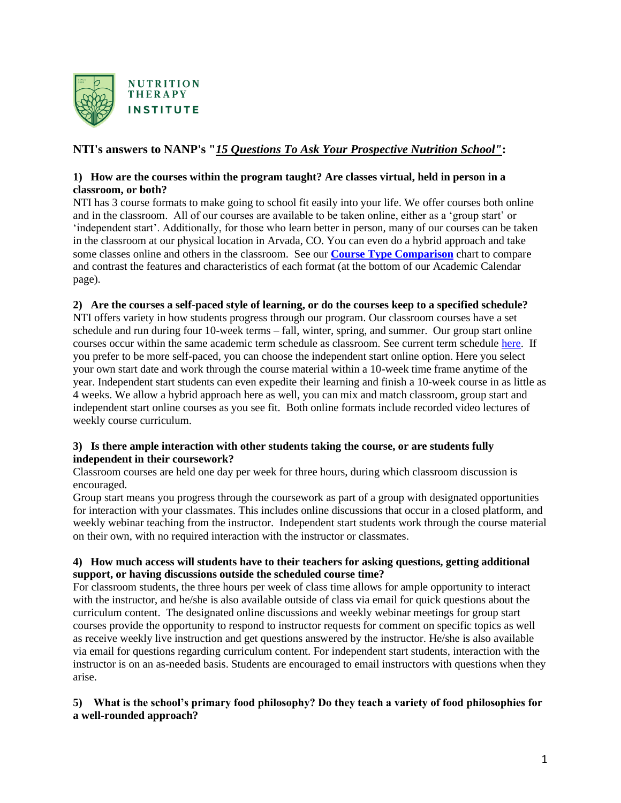

# **NTI's answers to NANP's "***15 Questions To Ask Your Prospective Nutrition School"***:**

# **1) How are the courses within the program taught? Are classes virtual, held in person in a classroom, or both?**

NTI has 3 course formats to make going to school fit easily into your life. We offer courses both online and in the classroom. All of our courses are available to be taken online, either as a 'group start' or 'independent start'. Additionally, for those who learn better in person, many of our courses can be taken in the classroom at our physical location in Arvada, CO. You can even do a hybrid approach and take some classes online and others in the classroom. See our **[Course Type Comparison](https://ntischool.com/programs/academic-calendar/)** chart to compare and contrast the features and characteristics of each format (at the bottom of our Academic Calendar page).

### **2) Are the courses a self-paced style of learning, or do the courses keep to a specified schedule?**

NTI offers variety in how students progress through our program. Our classroom courses have a set schedule and run during four 10-week terms – fall, winter, spring, and summer. Our group start online courses occur within the same academic term schedule as classroom. See current term schedule [here.](https://ntischool.com/programs/academic-calendar/) If you prefer to be more self-paced, you can choose the independent start online option. Here you select your own start date and work through the course material within a 10-week time frame anytime of the year. Independent start students can even expedite their learning and finish a 10-week course in as little as 4 weeks. We allow a hybrid approach here as well, you can mix and match classroom, group start and independent start online courses as you see fit. Both online formats include recorded video lectures of weekly course curriculum.

#### **3) Is there ample interaction with other students taking the course, or are students fully independent in their coursework?**

Classroom courses are held one day per week for three hours, during which classroom discussion is encouraged.

Group start means you progress through the coursework as part of a group with designated opportunities for interaction with your classmates. This includes online discussions that occur in a closed platform, and weekly webinar teaching from the instructor. Independent start students work through the course material on their own, with no required interaction with the instructor or classmates.

# **4) How much access will students have to their teachers for asking questions, getting additional support, or having discussions outside the scheduled course time?**

For classroom students, the three hours per week of class time allows for ample opportunity to interact with the instructor, and he/she is also available outside of class via email for quick questions about the curriculum content. The designated online discussions and weekly webinar meetings for group start courses provide the opportunity to respond to instructor requests for comment on specific topics as well as receive weekly live instruction and get questions answered by the instructor. He/she is also available via email for questions regarding curriculum content. For independent start students, interaction with the instructor is on an as-needed basis. Students are encouraged to email instructors with questions when they arise.

# **5) What is the school's primary food philosophy? Do they teach a variety of food philosophies for a well-rounded approach?**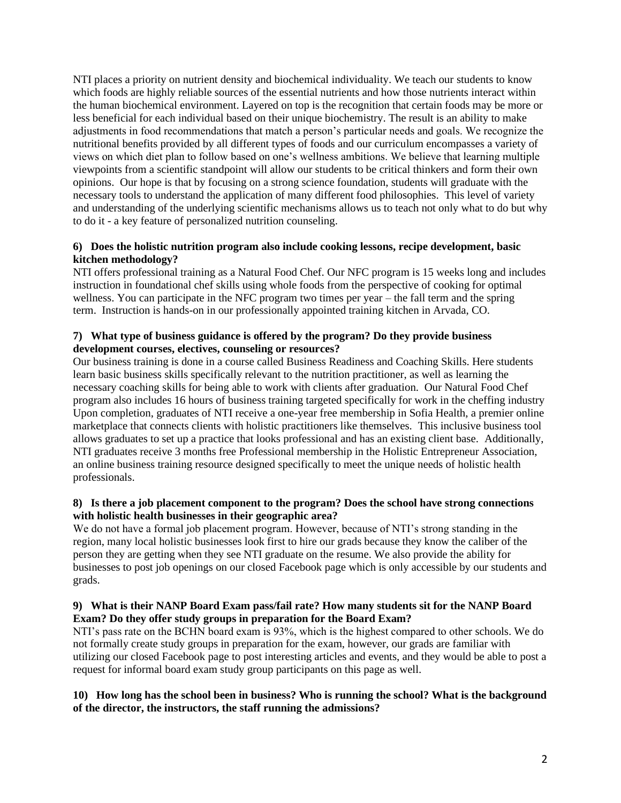NTI places a priority on nutrient density and biochemical individuality. We teach our students to know which foods are highly reliable sources of the essential nutrients and how those nutrients interact within the human biochemical environment. Layered on top is the recognition that certain foods may be more or less beneficial for each individual based on their unique biochemistry. The result is an ability to make adjustments in food recommendations that match a person's particular needs and goals. We recognize the nutritional benefits provided by all different types of foods and our curriculum encompasses a variety of views on which diet plan to follow based on one's wellness ambitions. We believe that learning multiple viewpoints from a scientific standpoint will allow our students to be critical thinkers and form their own opinions. Our hope is that by focusing on a strong science foundation, students will graduate with the necessary tools to understand the application of many different food philosophies. This level of variety and understanding of the underlying scientific mechanisms allows us to teach not only what to do but why to do it - a key feature of personalized nutrition counseling.

# **6) Does the holistic nutrition program also include cooking lessons, recipe development, basic kitchen methodology?**

NTI offers professional training as a Natural Food Chef. Our NFC program is 15 weeks long and includes instruction in foundational chef skills using whole foods from the perspective of cooking for optimal wellness. You can participate in the NFC program two times per year – the fall term and the spring term. Instruction is hands-on in our professionally appointed training kitchen in Arvada, CO.

#### **7) What type of business guidance is offered by the program? Do they provide business development courses, electives, counseling or resources?**

Our business training is done in a course called Business Readiness and Coaching Skills. Here students learn basic business skills specifically relevant to the nutrition practitioner, as well as learning the necessary coaching skills for being able to work with clients after graduation. Our Natural Food Chef program also includes 16 hours of business training targeted specifically for work in the cheffing industry Upon completion, graduates of NTI receive a one-year free membership in Sofia Health, a premier online marketplace that connects clients with holistic practitioners like themselves. This inclusive business tool allows graduates to set up a practice that looks professional and has an existing client base. Additionally, NTI graduates receive 3 months free Professional membership in the Holistic Entrepreneur Association, an online business training resource designed specifically to meet the unique needs of holistic health professionals.

#### **8) Is there a job placement component to the program? Does the school have strong connections with holistic health businesses in their geographic area?**

We do not have a formal job placement program. However, because of NTI's strong standing in the region, many local holistic businesses look first to hire our grads because they know the caliber of the person they are getting when they see NTI graduate on the resume. We also provide the ability for businesses to post job openings on our closed Facebook page which is only accessible by our students and grads.

### **9) What is their NANP Board Exam pass/fail rate? How many students sit for the NANP Board Exam? Do they offer study groups in preparation for the Board Exam?**

NTI's pass rate on the BCHN board exam is 93%, which is the highest compared to other schools. We do not formally create study groups in preparation for the exam, however, our grads are familiar with utilizing our closed Facebook page to post interesting articles and events, and they would be able to post a request for informal board exam study group participants on this page as well.

### **10) How long has the school been in business? Who is running the school? What is the background of the director, the instructors, the staff running the admissions?**